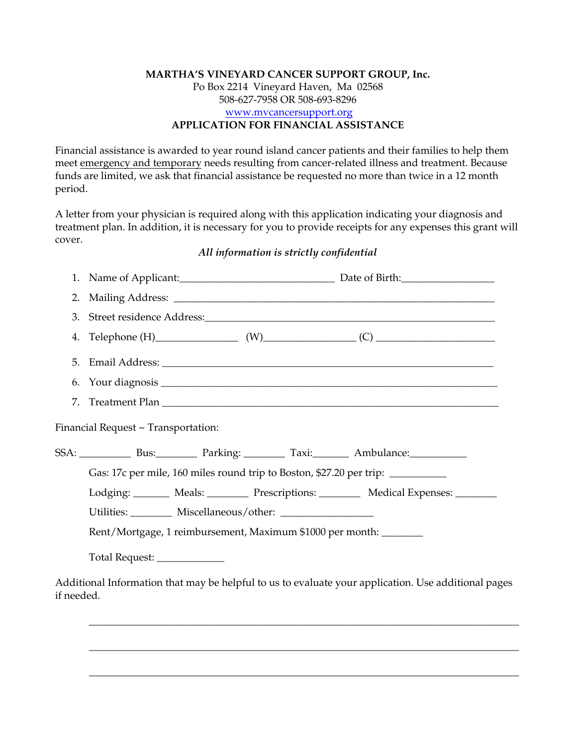## **MARTHA'S VINEYARD CANCER SUPPORT GROUP, Inc.**  Po Box 2214 Vineyard Haven, Ma 02568 508-627-7958 OR 508-693-8296 www.mvcancersupport.org **APPLICATION FOR FINANCIAL ASSISTANCE**

Financial assistance is awarded to year round island cancer patients and their families to help them meet emergency and temporary needs resulting from cancer-related illness and treatment. Because funds are limited, we ask that financial assistance be requested no more than twice in a 12 month period.

A letter from your physician is required along with this application indicating your diagnosis and treatment plan. In addition, it is necessary for you to provide receipts for any expenses this grant will cover.

## *All information is strictly confidential*

| 1.                                                                |                                                                                 |  |  |                                                                                                        |  |  |
|-------------------------------------------------------------------|---------------------------------------------------------------------------------|--|--|--------------------------------------------------------------------------------------------------------|--|--|
| 2.                                                                |                                                                                 |  |  |                                                                                                        |  |  |
| 3.                                                                |                                                                                 |  |  |                                                                                                        |  |  |
| 4.                                                                |                                                                                 |  |  |                                                                                                        |  |  |
|                                                                   |                                                                                 |  |  |                                                                                                        |  |  |
|                                                                   |                                                                                 |  |  |                                                                                                        |  |  |
| 7.                                                                |                                                                                 |  |  |                                                                                                        |  |  |
|                                                                   | Financial Request ~ Transportation:                                             |  |  |                                                                                                        |  |  |
|                                                                   |                                                                                 |  |  | SSA: Bus: Bus: Parking: Taxi: Ambulance: Business Business Darking: Taxi: Business Darking: Ambulance: |  |  |
|                                                                   | Gas: 17c per mile, 160 miles round trip to Boston, \$27.20 per trip: __________ |  |  |                                                                                                        |  |  |
|                                                                   |                                                                                 |  |  | Lodging: _______ Meals: ________ Prescriptions: ________ Medical Expenses: _______                     |  |  |
|                                                                   |                                                                                 |  |  |                                                                                                        |  |  |
| Rent/Mortgage, 1 reimbursement, Maximum \$1000 per month: _______ |                                                                                 |  |  |                                                                                                        |  |  |
|                                                                   | Total Request: _______________                                                  |  |  |                                                                                                        |  |  |
| if needed.                                                        |                                                                                 |  |  | Additional Information that may be helpful to us to evaluate your application. Use additional pages    |  |  |

\_\_\_\_\_\_\_\_\_\_\_\_\_\_\_\_\_\_\_\_\_\_\_\_\_\_\_\_\_\_\_\_\_\_\_\_\_\_\_\_\_\_\_\_\_\_\_\_\_\_\_\_\_\_\_\_\_\_\_\_\_\_\_\_\_\_\_\_\_\_\_\_\_\_\_\_\_\_\_\_\_\_\_

\_\_\_\_\_\_\_\_\_\_\_\_\_\_\_\_\_\_\_\_\_\_\_\_\_\_\_\_\_\_\_\_\_\_\_\_\_\_\_\_\_\_\_\_\_\_\_\_\_\_\_\_\_\_\_\_\_\_\_\_\_\_\_\_\_\_\_\_\_\_\_\_\_\_\_\_\_\_\_\_\_\_\_

\_\_\_\_\_\_\_\_\_\_\_\_\_\_\_\_\_\_\_\_\_\_\_\_\_\_\_\_\_\_\_\_\_\_\_\_\_\_\_\_\_\_\_\_\_\_\_\_\_\_\_\_\_\_\_\_\_\_\_\_\_\_\_\_\_\_\_\_\_\_\_\_\_\_\_\_\_\_\_\_\_\_\_